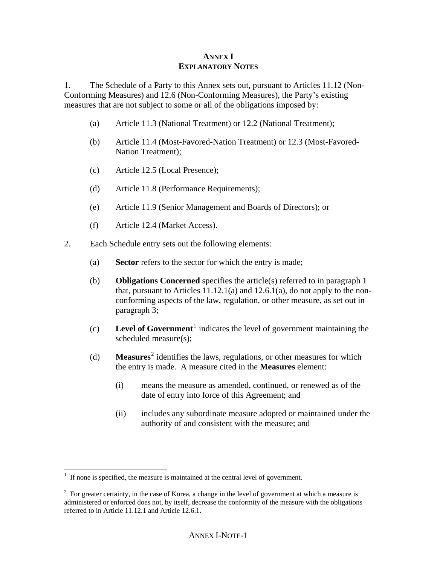## **ANNEX I EXPLANATORY NOTES**

1. The Schedule of a Party to this Annex sets out, pursuant to Articles 11.12 (Non-Conforming Measures) and 12.6 (Non-Conforming Measures), the Party's existing measures that are not subject to some or all of the obligations imposed by:

- (a) Article 11.3 (National Treatment) or 12.2 (National Treatment);
- (b) Article 11.4 (Most-Favored-Nation Treatment) or 12.3 (Most-Favored-Nation Treatment);
- (c) Article 12.5 (Local Presence);
- (d) Article 11.8 (Performance Requirements);
- (e) Article 11.9 (Senior Management and Boards of Directors); or
- (f) Article 12.4 (Market Access).
- 2. Each Schedule entry sets out the following elements:
	- (a) **Sector** refers to the sector for which the entry is made;
	- (b) **Obligations Concerned** specifies the article(s) referred to in paragraph 1 that, pursuant to Articles  $11.12.1(a)$  and  $12.6.1(a)$ , do not apply to the nonconforming aspects of the law, regulation, or other measure, as set out in paragraph 3;
	- $\text{(c)}$  **Level of Government**<sup>[1](#page-0-0)</sup> indicates the level of government maintaining the scheduled measure(s);
	- (d) **Measures**<sup>[2](#page-0-1)</sup> identifies the laws, regulations, or other measures for which the entry is made. A measure cited in the **Measures** element:
		- (i) means the measure as amended, continued, or renewed as of the date of entry into force of this Agreement; and
		- (ii) includes any subordinate measure adopted or maintained under the authority of and consistent with the measure; and

<span id="page-0-0"></span> 1 If none is specified, the measure is maintained at the central level of government.

<span id="page-0-1"></span><sup>&</sup>lt;sup>2</sup> For greater certainty, in the case of Korea, a change in the level of government at which a measure is administered or enforced does not, by itself, decrease the conformity of the measure with the obligations referred to in Article 11.12.1 and Article 12.6.1.